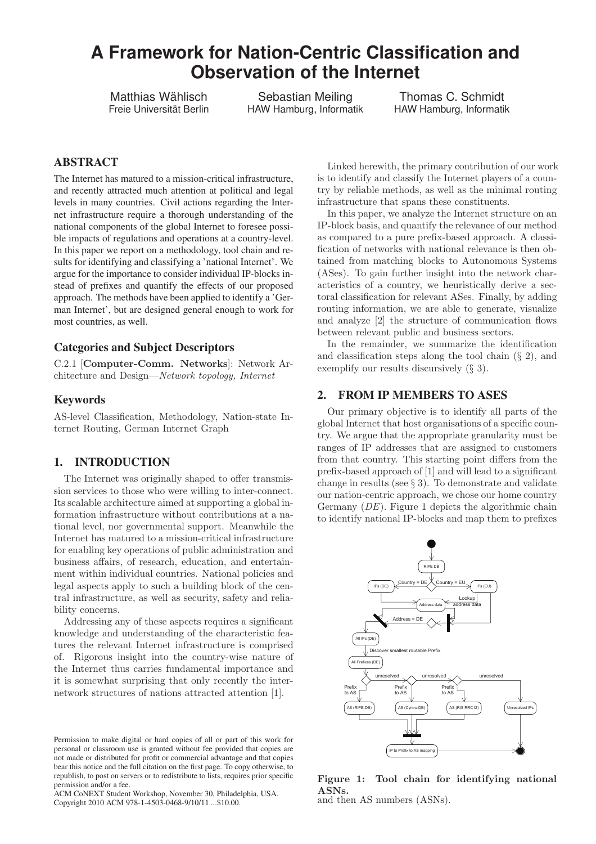# **A Framework for Nation-Centric Classification and Observation of the Internet**

Matthias Wählisch Freie Universität Berlin

Sebastian Meiling HAW Hamburg, Informatik

Thomas C. Schmidt HAW Hamburg, Informatik

# ABSTRACT

The Internet has matured to a mission-critical infrastructure, and recently attracted much attention at political and legal levels in many countries. Civil actions regarding the Internet infrastructure require a thorough understanding of the national components of the global Internet to foresee possible impacts of regulations and operations at a country-level. In this paper we report on a methodology, tool chain and results for identifying and classifying a 'national Internet'. We argue for the importance to consider individual IP-blocks instead of prefixes and quantify the effects of our proposed approach. The methods have been applied to identify a 'German Internet', but are designed general enough to work for most countries, as well.

## Categories and Subject Descriptors

C.2.1 [Computer-Comm. Networks]: Network Architecture and Design—Network topology, Internet

#### Keywords

AS-level Classification, Methodology, Nation-state Internet Routing, German Internet Graph

# 1. INTRODUCTION

The Internet was originally shaped to offer transmission services to those who were willing to inter-connect. Its scalable architecture aimed at supporting a global information infrastructure without contributions at a national level, nor governmental support. Meanwhile the Internet has matured to a mission-critical infrastructure for enabling key operations of public administration and business affairs, of research, education, and entertainment within individual countries. National policies and legal aspects apply to such a building block of the central infrastructure, as well as security, safety and reliability concerns.

Addressing any of these aspects requires a significant knowledge and understanding of the characteristic features the relevant Internet infrastructure is comprised of. Rigorous insight into the country-wise nature of the Internet thus carries fundamental importance and it is somewhat surprising that only recently the internetwork structures of nations attracted attention [1].

Linked herewith, the primary contribution of our work is to identify and classify the Internet players of a country by reliable methods, as well as the minimal routing infrastructure that spans these constituents.

In this paper, we analyze the Internet structure on an IP-block basis, and quantify the relevance of our method as compared to a pure prefix-based approach. A classification of networks with national relevance is then obtained from matching blocks to Autonomous Systems (ASes). To gain further insight into the network characteristics of a country, we heuristically derive a sectoral classification for relevant ASes. Finally, by adding routing information, we are able to generate, visualize and analyze [2] the structure of communication flows between relevant public and business sectors.

In the remainder, we summarize the identification and classification steps along the tool chain  $(\S 2)$ , and exemplify our results discursively (§ 3).

# 2. FROM IP MEMBERS TO ASES

Our primary objective is to identify all parts of the global Internet that host organisations of a specific country. We argue that the appropriate granularity must be ranges of IP addresses that are assigned to customers from that country. This starting point differs from the prefix-based approach of [1] and will lead to a significant change in results (see  $\S 3$ ). To demonstrate and validate our nation-centric approach, we chose our home country Germany (DE). Figure 1 depicts the algorithmic chain to identify national IP-blocks and map them to prefixes



Figure 1: Tool chain for identifying national ASNs. and then AS numbers (ASNs).

Permission to make digital or hard copies of all or part of this work for personal or classroom use is granted without fee provided that copies are not made or distributed for profit or commercial advantage and that copies bear this notice and the full citation on the first page. To copy otherwise, to republish, to post on servers or to redistribute to lists, requires prior specific permission and/or a fee.

ACM CoNEXT Student Workshop, November 30, Philadelphia, USA. Copyright 2010 ACM 978-1-4503-0468-9/10/11 ...\$10.00.